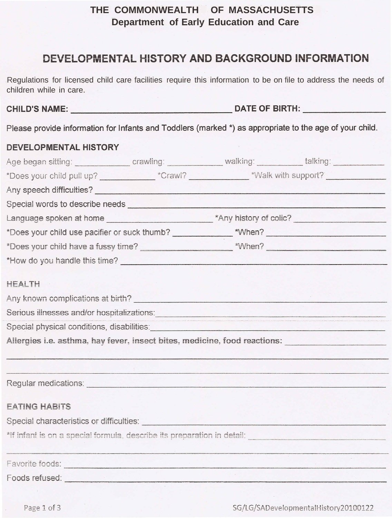# THE COMMONWEALTH OF MASSACHUSETTS Department of Early Education and Care

# DEVELOPMENTAL HISTORY AND BACKGROUND INFORMATION

Regulations for licensed child care facilities require this information to be on file to address the needs of children while in care.

Please provide information for Infants and Toddlers (marked \*) as appropriate to the age of your child.

### DEVELOPMENTAL HISTORY

| Age began sitting: crawling: crawling: walking: under talking: can be a state of the case of the critical control of the critical control of the critical control of the critical control of the critical control of the criti       |  |  |
|--------------------------------------------------------------------------------------------------------------------------------------------------------------------------------------------------------------------------------------|--|--|
| *Does your child pull up? ____________________*Crawl? ____________________*Walk with support?                                                                                                                                        |  |  |
|                                                                                                                                                                                                                                      |  |  |
| Special words to describe needs experience and a series of the series of the series of the series of the series of the series of the series of the series of the series of the series of the series of the series of the serie       |  |  |
|                                                                                                                                                                                                                                      |  |  |
|                                                                                                                                                                                                                                      |  |  |
|                                                                                                                                                                                                                                      |  |  |
|                                                                                                                                                                                                                                      |  |  |
| <b>HEALTH</b>                                                                                                                                                                                                                        |  |  |
| Any known complications at birth? <b>Company and Company and Company</b>                                                                                                                                                             |  |  |
| Serious illnesses and/or hospitalizations: entitled and and all of the series of the series of the series of the series of the series of the series of the series of the series of the series of the series of the series of t       |  |  |
| Special physical conditions, disabilities: Special physical conditions of the state of the state of the state of                                                                                                                     |  |  |
| Allergies i.e. asthma, hay fever, insect bites, medicine, food reactions:                                                                                                                                                            |  |  |
|                                                                                                                                                                                                                                      |  |  |
| Regular medications: <u>contract and contract and contract and contract and contract and contract and contract and contract and contract and contract and contract and contract and contract and contract and contract and contr</u> |  |  |
| <b>EATING HABITS</b>                                                                                                                                                                                                                 |  |  |
| Special characteristics or difficulties: <b>Special characteristics</b> or difficulties:                                                                                                                                             |  |  |
|                                                                                                                                                                                                                                      |  |  |
| Favorite foods: enterprise to the contract of the contract of the contract of the contract of the contract of                                                                                                                        |  |  |
| Foods refused:                                                                                                                                                                                                                       |  |  |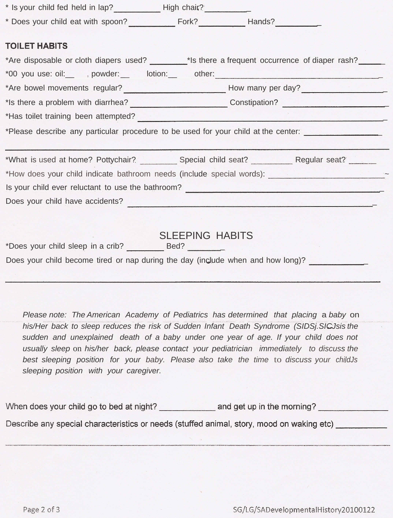| * Is your child fed held in lap? _____________High chair? ___________                                                                                                                                                           |                        |  |
|---------------------------------------------------------------------------------------------------------------------------------------------------------------------------------------------------------------------------------|------------------------|--|
|                                                                                                                                                                                                                                 |                        |  |
| <b>TOILET HABITS</b><br>*Are disposable or cloth diapers used? _______*Is there a frequent occurrence of diaper rash? ______<br>*00 you use: oil:______, powder:________lotion:_______other:_____________________               |                        |  |
|                                                                                                                                                                                                                                 |                        |  |
|                                                                                                                                                                                                                                 |                        |  |
| *Has toilet training been attempted?<br>The second contract of the second contract of the second contract of the second contract of the second contract of the second contract of the second contract of the second contract of |                        |  |
| *Please describe any particular procedure to be used for your child at the center: _________________                                                                                                                            |                        |  |
|                                                                                                                                                                                                                                 |                        |  |
| *What is used at home? Pottychair? Special child seat? Regular seat?                                                                                                                                                            |                        |  |
| *How does your child indicate bathroom needs (include special words): ______________________________                                                                                                                            |                        |  |
| Is your child ever reluctant to use the bathroom? ______________________________                                                                                                                                                |                        |  |
| Does your child have accidents?                                                                                                                                                                                                 |                        |  |
|                                                                                                                                                                                                                                 |                        |  |
| Does your child become tired or nap during the day (include when and how long)?                                                                                                                                                 | <b>SLEEPING HABITS</b> |  |
|                                                                                                                                                                                                                                 |                        |  |

*Please note: The American Academy of Pediatrics has determined that placing* a *baby* on *his/Her back to sleep reduces the risk of Sudden Infant Death Syndrome (SIDSj.SICJsis the sudden and unexplained death of a baby under one year of age. If your child does not usually sleep* on *his/her backl please contact your pediatrician immediately to discuss the best sleeping position for your baby. Please also take the time* to *discuss your childJs sleeping position with your caregiver.*

When does your child go to bed at night? and get up in the morning? Describe any special characteristics or needs (stuffed animal, story, mood on waking etc)